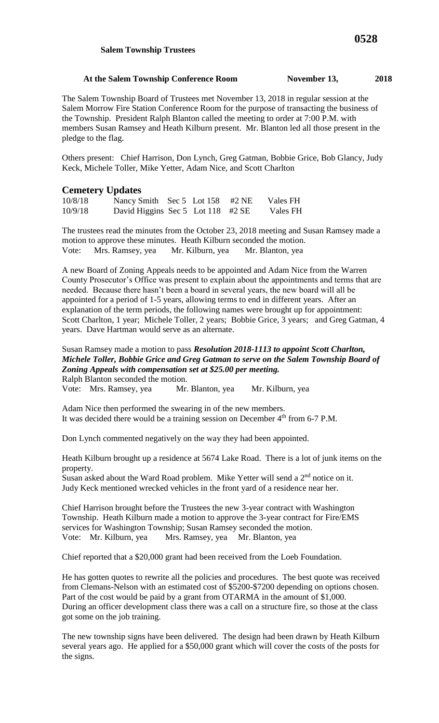#### **Salem Township Trustees**

### At the Salem Township Conference Room November 13, 2018

The Salem Township Board of Trustees met November 13, 2018 in regular session at the Salem Morrow Fire Station Conference Room for the purpose of transacting the business of the Township. President Ralph Blanton called the meeting to order at 7:00 P.M. with members Susan Ramsey and Heath Kilburn present. Mr. Blanton led all those present in the pledge to the flag.

Others present: Chief Harrison, Don Lynch, Greg Gatman, Bobbie Grice, Bob Glancy, Judy Keck, Michele Toller, Mike Yetter, Adam Nice, and Scott Charlton

## **Cemetery Updates**

| 10/8/18 | Nancy Smith Sec 5 Lot 158 #2 NE   |  | Vales FH |
|---------|-----------------------------------|--|----------|
| 10/9/18 | David Higgins Sec 5 Lot 118 #2 SE |  | Vales FH |

The trustees read the minutes from the October 23, 2018 meeting and Susan Ramsey made a motion to approve these minutes. Heath Kilburn seconded the motion. Vote: Mrs. Ramsey, yea Mr. Kilburn, yea Mr. Blanton, yea

A new Board of Zoning Appeals needs to be appointed and Adam Nice from the Warren County Prosecutor's Office was present to explain about the appointments and terms that are needed. Because there hasn't been a board in several years, the new board will all be appointed for a period of 1-5 years, allowing terms to end in different years. After an explanation of the term periods, the following names were brought up for appointment: Scott Charlton, 1 year; Michele Toller, 2 years; Bobbie Grice, 3 years; and Greg Gatman, 4 years. Dave Hartman would serve as an alternate.

### Susan Ramsey made a motion to pass *Resolution 2018-1113 to appoint Scott Charlton, Michele Toller, Bobbie Grice and Greg Gatman to serve on the Salem Township Board of Zoning Appeals with compensation set at \$25.00 per meeting.*  Ralph Blanton seconded the motion.

Vote: Mrs. Ramsey, yea Mr. Blanton, yea Mr. Kilburn, yea

Adam Nice then performed the swearing in of the new members. It was decided there would be a training session on December 4<sup>th</sup> from 6-7 P.M.

Don Lynch commented negatively on the way they had been appointed.

Heath Kilburn brought up a residence at 5674 Lake Road. There is a lot of junk items on the property.

Susan asked about the Ward Road problem. Mike Yetter will send a  $2<sup>nd</sup>$  notice on it. Judy Keck mentioned wrecked vehicles in the front yard of a residence near her.

Chief Harrison brought before the Trustees the new 3-year contract with Washington Township. Heath Kilburn made a motion to approve the 3-year contract for Fire/EMS services for Washington Township; Susan Ramsey seconded the motion. Vote: Mr. Kilburn, yea Mrs. Ramsey, yea Mr. Blanton, yea

Chief reported that a \$20,000 grant had been received from the Loeb Foundation.

He has gotten quotes to rewrite all the policies and procedures. The best quote was received from Clemans-Nelson with an estimated cost of \$5200-\$7200 depending on options chosen. Part of the cost would be paid by a grant from OTARMA in the amount of \$1,000. During an officer development class there was a call on a structure fire, so those at the class got some on the job training.

The new township signs have been delivered. The design had been drawn by Heath Kilburn several years ago. He applied for a \$50,000 grant which will cover the costs of the posts for the signs.